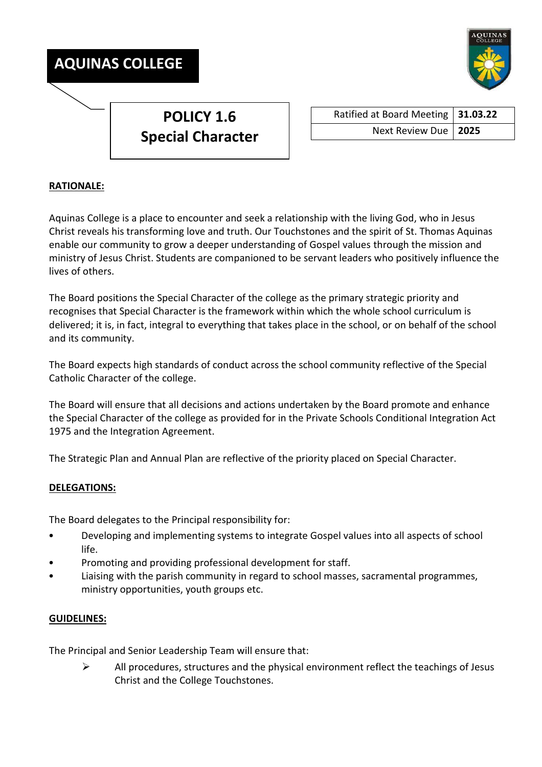



## **RATIONALE:**

Aquinas College is a place to encounter and seek a relationship with the living God, who in Jesus Christ reveals his transforming love and truth. Our Touchstones and the spirit of St. Thomas Aquinas enable our community to grow a deeper understanding of Gospel values through the mission and ministry of Jesus Christ. Students are companioned to be servant leaders who positively influence the lives of others.

The Board positions the Special Character of the college as the primary strategic priority and recognises that Special Character is the framework within which the whole school curriculum is delivered; it is, in fact, integral to everything that takes place in the school, or on behalf of the school and its community.

The Board expects high standards of conduct across the school community reflective of the Special Catholic Character of the college.

The Board will ensure that all decisions and actions undertaken by the Board promote and enhance the Special Character of the college as provided for in the Private Schools Conditional Integration Act 1975 and the Integration Agreement.

The Strategic Plan and Annual Plan are reflective of the priority placed on Special Character.

## **DELEGATIONS:**

The Board delegates to the Principal responsibility for:

- Developing and implementing systems to integrate Gospel values into all aspects of school life.
- Promoting and providing professional development for staff.
- Liaising with the parish community in regard to school masses, sacramental programmes, ministry opportunities, youth groups etc.

## **GUIDELINES:**

The Principal and Senior Leadership Team will ensure that:

 $\triangleright$  All procedures, structures and the physical environment reflect the teachings of Jesus Christ and the College Touchstones.